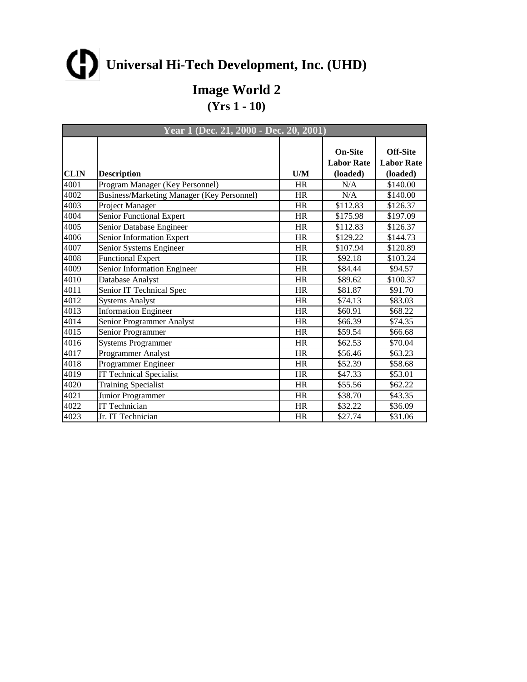**Image World 2**

| Year 1 (Dec. 21, 2000 - Dec. 20, 2001) |                                                   |           |                                                 |                                                  |
|----------------------------------------|---------------------------------------------------|-----------|-------------------------------------------------|--------------------------------------------------|
| <b>CLIN</b>                            | <b>Description</b>                                | U/M       | <b>On-Site</b><br><b>Labor Rate</b><br>(loaded) | <b>Off-Site</b><br><b>Labor Rate</b><br>(loaded) |
| 4001                                   | Program Manager (Key Personnel)                   | <b>HR</b> | N/A                                             | \$140.00                                         |
| 4002                                   | <b>Business/Marketing Manager (Key Personnel)</b> | HR        | N/A                                             | \$140.00                                         |
| 4003                                   | Project Manager                                   | <b>HR</b> | \$112.83                                        | \$126.37                                         |
| 4004                                   | Senior Functional Expert                          | <b>HR</b> | \$175.98                                        | \$197.09                                         |
| 4005                                   | Senior Database Engineer                          | HR        | \$112.83                                        | \$126.37                                         |
| 4006                                   | Senior Information Expert                         | <b>HR</b> | \$129.22                                        | \$144.73                                         |
| 4007                                   | Senior Systems Engineer                           | <b>HR</b> | \$107.94                                        | \$120.89                                         |
| 4008                                   | Functional Expert                                 | <b>HR</b> | \$92.18                                         | \$103.24                                         |
| 4009                                   | Senior Information Engineer                       | <b>HR</b> | \$84.44                                         | \$94.57                                          |
| 4010                                   | Database Analyst                                  | <b>HR</b> | \$89.62                                         | \$100.37                                         |
| 4011                                   | Senior IT Technical Spec                          | <b>HR</b> | \$81.87                                         | \$91.70                                          |
| 4012                                   | <b>Systems Analyst</b>                            | <b>HR</b> | \$74.13                                         | \$83.03                                          |
| 4013                                   | <b>Information Engineer</b>                       | HR        | \$60.91                                         | \$68.22                                          |
| 4014                                   | Senior Programmer Analyst                         | <b>HR</b> | \$66.39                                         | \$74.35                                          |
| 4015                                   | Senior Programmer                                 | <b>HR</b> | \$59.54                                         | \$66.68                                          |
| 4016                                   | Systems Programmer                                | <b>HR</b> | \$62.53                                         | \$70.04                                          |
| 4017                                   | Programmer Analyst                                | <b>HR</b> | \$56.46                                         | \$63.23                                          |
| 4018                                   | Programmer Engineer                               | <b>HR</b> | \$52.39                                         | \$58.68                                          |
| 4019                                   | <b>IT Technical Specialist</b>                    | <b>HR</b> | \$47.33                                         | \$53.01                                          |
| 4020                                   | <b>Training Specialist</b>                        | <b>HR</b> | \$55.56                                         | \$62.22                                          |
| 4021                                   | Junior Programmer                                 | <b>HR</b> | \$38.70                                         | \$43.35                                          |
| 4022                                   | <b>IT Technician</b>                              | <b>HR</b> | \$32.22                                         | \$36.09                                          |
| 4023                                   | Jr. IT Technician                                 | <b>HR</b> | \$27.74                                         | \$31.06                                          |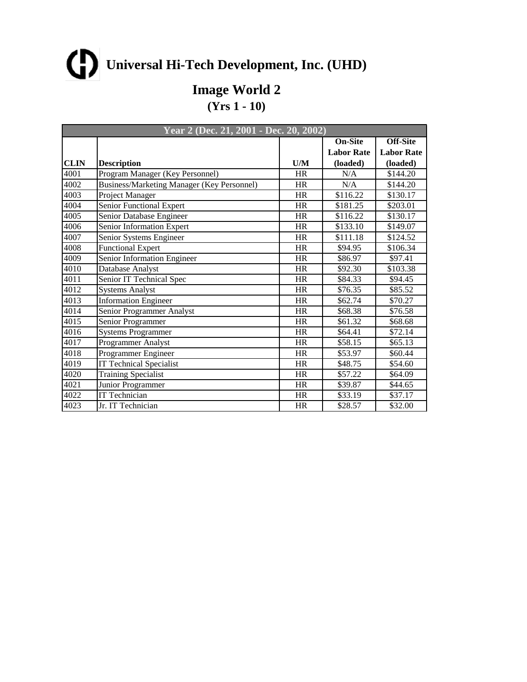**Image World 2**

|      | Year 2 (Dec. 21, 2001 - Dec. 20, 2002)     |           |                   |                   |
|------|--------------------------------------------|-----------|-------------------|-------------------|
|      |                                            |           | <b>On-Site</b>    | <b>Off-Site</b>   |
|      |                                            |           | <b>Labor Rate</b> | <b>Labor Rate</b> |
| CLIN | <b>Description</b>                         | U/M       | (loaded)          | (loaded)          |
| 4001 | Program Manager (Key Personnel)            | <b>HR</b> | N/A               | \$144.20          |
| 4002 | Business/Marketing Manager (Key Personnel) | <b>HR</b> | N/A               | \$144.20          |
| 4003 | Project Manager                            | HR        | \$116.22          | \$130.17          |
| 4004 | Senior Functional Expert                   | HR        | \$181.25          | \$203.01          |
| 4005 | Senior Database Engineer                   | <b>HR</b> | \$116.22          | \$130.17          |
| 4006 | Senior Information Expert                  | HR        | \$133.10          | \$149.07          |
| 4007 | Senior Systems Engineer                    | HR        | \$111.18          | \$124.52          |
| 4008 | Functional Expert                          | <b>HR</b> | \$94.95           | \$106.34          |
| 4009 | Senior Information Engineer                | HR        | \$86.97           | \$97.41           |
| 4010 | Database Analyst                           | HR        | \$92.30           | \$103.38          |
| 4011 | Senior IT Technical Spec                   | <b>HR</b> | \$84.33           | \$94.45           |
| 4012 | <b>Systems Analyst</b>                     | <b>HR</b> | \$76.35           | \$85.52           |
| 4013 | <b>Information Engineer</b>                | <b>HR</b> | \$62.74           | \$70.27           |
| 4014 | Senior Programmer Analyst                  | HR        | \$68.38           | \$76.58           |
| 4015 | Senior Programmer                          | HR        | \$61.32           | \$68.68           |
| 4016 | Systems Programmer                         | <b>HR</b> | \$64.41           | \$72.14           |
| 4017 | Programmer Analyst                         | HR        | \$58.15           | \$65.13           |
| 4018 | Programmer Engineer                        | <b>HR</b> | \$53.97           | \$60.44           |
| 4019 | <b>IT Technical Specialist</b>             | <b>HR</b> | \$48.75           | \$54.60           |
| 4020 | Training Specialist                        | <b>HR</b> | \$57.22           | \$64.09           |
| 4021 | Junior Programmer                          | <b>HR</b> | \$39.87           | \$44.65           |
| 4022 | IT Technician                              | HR        | \$33.19           | \$37.17           |
| 4023 | Jr. IT Technician                          | <b>HR</b> | \$28.57           | \$32.00           |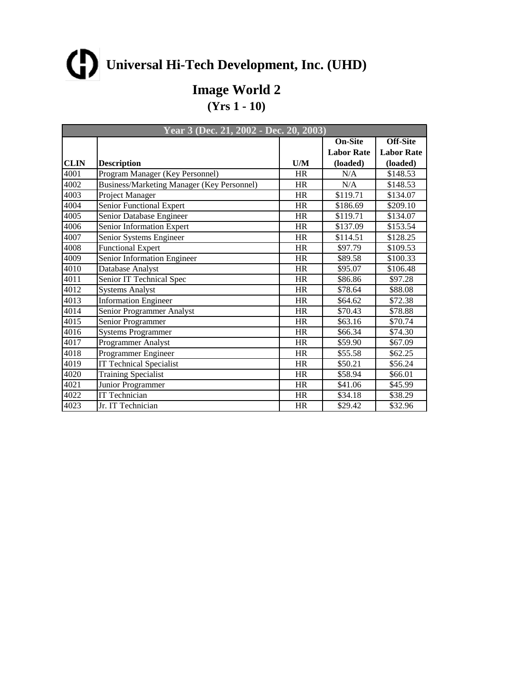**Image World 2**

|      | Year 3 (Dec. 21, 2002 - Dec. 20, 2003)     |           |                   |                   |
|------|--------------------------------------------|-----------|-------------------|-------------------|
|      |                                            |           | <b>On-Site</b>    | <b>Off-Site</b>   |
|      |                                            |           | <b>Labor Rate</b> | <b>Labor Rate</b> |
| CLIN | <b>Description</b>                         | U/M       | (loaded)          | (loaded)          |
| 4001 | Program Manager (Key Personnel)            | <b>HR</b> | N/A               | \$148.53          |
| 4002 | Business/Marketing Manager (Key Personnel) | <b>HR</b> | N/A               | \$148.53          |
| 4003 | Project Manager                            | HR        | \$119.71          | \$134.07          |
| 4004 | Senior Functional Expert                   | HR        | \$186.69          | \$209.10          |
| 4005 | Senior Database Engineer                   | <b>HR</b> | \$119.71          | \$134.07          |
| 4006 | Senior Information Expert                  | HR        | \$137.09          | \$153.54          |
| 4007 | Senior Systems Engineer                    | HR        | \$114.51          | \$128.25          |
| 4008 | Functional Expert                          | <b>HR</b> | \$97.79           | \$109.53          |
| 4009 | Senior Information Engineer                | HR        | \$89.58           | \$100.33          |
| 4010 | Database Analyst                           | HR        | \$95.07           | \$106.48          |
| 4011 | Senior IT Technical Spec                   | <b>HR</b> | \$86.86           | \$97.28           |
| 4012 | <b>Systems Analyst</b>                     | <b>HR</b> | \$78.64           | \$88.08           |
| 4013 | <b>Information Engineer</b>                | <b>HR</b> | \$64.62           | \$72.38           |
| 4014 | Senior Programmer Analyst                  | HR        | \$70.43           | \$78.88           |
| 4015 | Senior Programmer                          | HR        | \$63.16           | \$70.74           |
| 4016 | Systems Programmer                         | <b>HR</b> | \$66.34           | \$74.30           |
| 4017 | Programmer Analyst                         | HR        | \$59.90           | \$67.09           |
| 4018 | Programmer Engineer                        | <b>HR</b> | \$55.58           | \$62.25           |
| 4019 | <b>IT Technical Specialist</b>             | <b>HR</b> | \$50.21           | \$56.24           |
| 4020 | Training Specialist                        | <b>HR</b> | \$58.94           | \$66.01           |
| 4021 | Junior Programmer                          | <b>HR</b> | \$41.06           | \$45.99           |
| 4022 | IT Technician                              | HR        | \$34.18           | \$38.29           |
| 4023 | Jr. IT Technician                          | <b>HR</b> | \$29.42           | \$32.96           |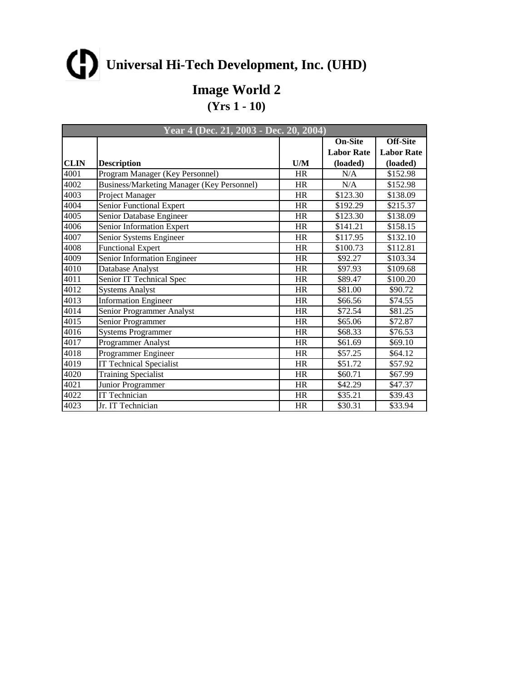**Image World 2**

|      | Year 4 (Dec. 21, 2003 - Dec. 20, 2004)     |           |                   |                   |
|------|--------------------------------------------|-----------|-------------------|-------------------|
|      |                                            |           | <b>On-Site</b>    | <b>Off-Site</b>   |
|      |                                            |           | <b>Labor Rate</b> | <b>Labor Rate</b> |
| CLIN | <b>Description</b>                         | U/M       | (loaded)          | (loaded)          |
| 4001 | Program Manager (Key Personnel)            | <b>HR</b> | N/A               | \$152.98          |
| 4002 | Business/Marketing Manager (Key Personnel) | <b>HR</b> | N/A               | \$152.98          |
| 4003 | Project Manager                            | HR        | \$123.30          | \$138.09          |
| 4004 | Senior Functional Expert                   | HR        | \$192.29          | \$215.37          |
| 4005 | Senior Database Engineer                   | <b>HR</b> | \$123.30          | \$138.09          |
| 4006 | Senior Information Expert                  | HR        | \$141.21          | \$158.15          |
| 4007 | Senior Systems Engineer                    | HR        | \$117.95          | \$132.10          |
| 4008 | Functional Expert                          | <b>HR</b> | \$100.73          | \$112.81          |
| 4009 | Senior Information Engineer                | HR        | \$92.27           | \$103.34          |
| 4010 | Database Analyst                           | HR        | \$97.93           | \$109.68          |
| 4011 | Senior IT Technical Spec                   | <b>HR</b> | \$89.47           | \$100.20          |
| 4012 | <b>Systems Analyst</b>                     | <b>HR</b> | \$81.00           | \$90.72           |
| 4013 | <b>Information Engineer</b>                | <b>HR</b> | \$66.56           | \$74.55           |
| 4014 | Senior Programmer Analyst                  | HR        | \$72.54           | \$81.25           |
| 4015 | Senior Programmer                          | HR        | \$65.06           | \$72.87           |
| 4016 | Systems Programmer                         | <b>HR</b> | \$68.33           | \$76.53           |
| 4017 | Programmer Analyst                         | HR        | \$61.69           | \$69.10           |
| 4018 | Programmer Engineer                        | <b>HR</b> | \$57.25           | \$64.12           |
| 4019 | <b>IT Technical Specialist</b>             | <b>HR</b> | \$51.72           | \$57.92           |
| 4020 | Training Specialist                        | <b>HR</b> | \$60.71           | \$67.99           |
| 4021 | Junior Programmer                          | <b>HR</b> | \$42.29           | \$47.37           |
| 4022 | IT Technician                              | HR        | \$35.21           | \$39.43           |
| 4023 | Jr. IT Technician                          | <b>HR</b> | \$30.31           | \$33.94           |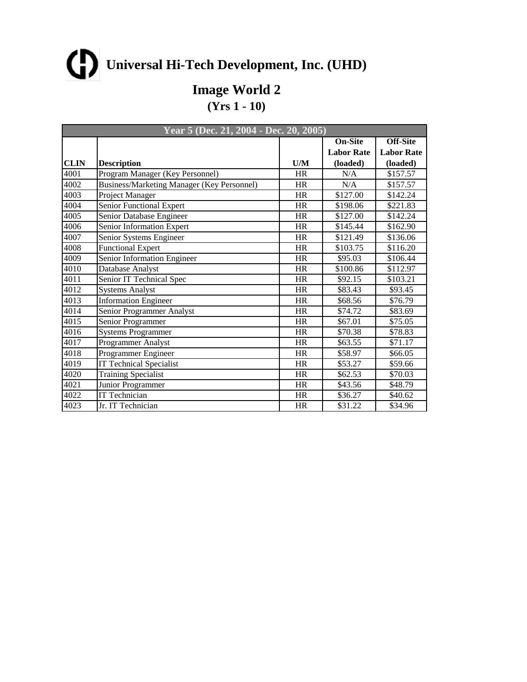**Image World 2**

|      | Year 5 (Dec. 21, 2004 - Dec. 20, 2005)     |           |                   |                   |
|------|--------------------------------------------|-----------|-------------------|-------------------|
|      |                                            |           | <b>On-Site</b>    | <b>Off-Site</b>   |
|      |                                            |           | <b>Labor Rate</b> | <b>Labor Rate</b> |
| CLIN | <b>Description</b>                         | U/M       | (loaded)          | (loaded)          |
| 4001 | Program Manager (Key Personnel)            | <b>HR</b> | N/A               | \$157.57          |
| 4002 | Business/Marketing Manager (Key Personnel) | <b>HR</b> | N/A               | \$157.57          |
| 4003 | Project Manager                            | HR        | \$127.00          | \$142.24          |
| 4004 | Senior Functional Expert                   | HR        | \$198.06          | \$221.83          |
| 4005 | Senior Database Engineer                   | <b>HR</b> | \$127.00          | \$142.24          |
| 4006 | Senior Information Expert                  | HR        | \$145.44          | \$162.90          |
| 4007 | Senior Systems Engineer                    | HR        | \$121.49          | \$136.06          |
| 4008 | Functional Expert                          | <b>HR</b> | \$103.75          | \$116.20          |
| 4009 | Senior Information Engineer                | HR        | \$95.03           | \$106.44          |
| 4010 | Database Analyst                           | HR        | \$100.86          | \$112.97          |
| 4011 | Senior IT Technical Spec                   | <b>HR</b> | \$92.15           | \$103.21          |
| 4012 | <b>Systems Analyst</b>                     | <b>HR</b> | \$83.43           | \$93.45           |
| 4013 | <b>Information Engineer</b>                | <b>HR</b> | \$68.56           | \$76.79           |
| 4014 | Senior Programmer Analyst                  | HR        | \$74.72           | \$83.69           |
| 4015 | Senior Programmer                          | HR        | \$67.01           | \$75.05           |
| 4016 | Systems Programmer                         | <b>HR</b> | \$70.38           | \$78.83           |
| 4017 | Programmer Analyst                         | HR        | \$63.55           | \$71.17           |
| 4018 | Programmer Engineer                        | <b>HR</b> | \$58.97           | \$66.05           |
| 4019 | <b>IT Technical Specialist</b>             | <b>HR</b> | \$53.27           | \$59.66           |
| 4020 | Training Specialist                        | <b>HR</b> | \$62.53           | \$70.03           |
| 4021 | Junior Programmer                          | <b>HR</b> | \$43.56           | \$48.79           |
| 4022 | IT Technician                              | HR        | \$36.27           | \$40.62           |
| 4023 | Jr. IT Technician                          | <b>HR</b> | \$31.22           | \$34.96           |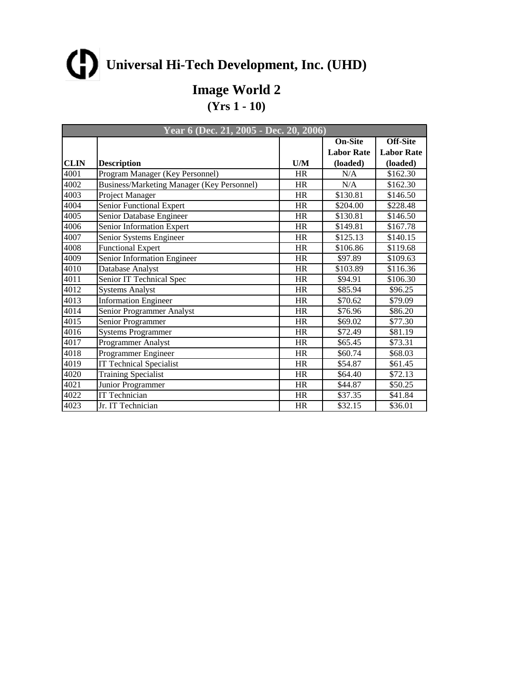**Image World 2**

|             | Year 6 (Dec. 21, 2005 - Dec. 20, 2006)            |           |                   |                   |
|-------------|---------------------------------------------------|-----------|-------------------|-------------------|
|             |                                                   |           | <b>On-Site</b>    | Off-Site          |
|             |                                                   |           | <b>Labor Rate</b> | <b>Labor Rate</b> |
| <b>CLIN</b> | <b>Description</b>                                | U/M       | (loaded)          | (loaded)          |
| 4001        | Program Manager (Key Personnel)                   | <b>HR</b> | N/A               | \$162.30          |
| 4002        | <b>Business/Marketing Manager (Key Personnel)</b> | <b>HR</b> | N/A               | \$162.30          |
| 4003        | Project Manager                                   | <b>HR</b> | \$130.81          | \$146.50          |
| 4004        | Senior Functional Expert                          | <b>HR</b> | \$204.00          | \$228.48          |
| 4005        | Senior Database Engineer                          | <b>HR</b> | \$130.81          | \$146.50          |
| 4006        | Senior Information Expert                         | HR        | \$149.81          | \$167.78          |
| 4007        | Senior Systems Engineer                           | <b>HR</b> | \$125.13          | \$140.15          |
| 4008        | Functional Expert                                 | <b>HR</b> | \$106.86          | \$119.68          |
| 4009        | Senior Information Engineer                       | HR        | \$97.89           | \$109.63          |
| 4010        | Database Analyst                                  | <b>HR</b> | \$103.89          | \$116.36          |
| 4011        | Senior IT Technical Spec                          | HR        | \$94.91           | \$106.30          |
| 4012        | <b>Systems Analyst</b>                            | HR        | \$85.94           | \$96.25           |
| 4013        | <b>Information Engineer</b>                       | <b>HR</b> | \$70.62           | \$79.09           |
| 4014        | Senior Programmer Analyst                         | HR        | \$76.96           | \$86.20           |
| 4015        | Senior Programmer                                 | <b>HR</b> | \$69.02           | \$77.30           |
| 4016        | <b>Systems Programmer</b>                         | <b>HR</b> | \$72.49           | \$81.19           |
| 4017        | Programmer Analyst                                | HR        | \$65.45           | \$73.31           |
| 4018        | Programmer Engineer                               | <b>HR</b> | \$60.74           | \$68.03           |
| 4019        | <b>IT Technical Specialist</b>                    | <b>HR</b> | \$54.87           | \$61.45           |
| 4020        | Training Specialist                               | HR        | \$64.40           | \$72.13           |
| 4021        | Junior Programmer                                 | <b>HR</b> | \$44.87           | \$50.25           |
| 4022        | <b>IT Technician</b>                              | <b>HR</b> | \$37.35           | \$41.84           |
| 4023        | Jr. IT Technician                                 | <b>HR</b> | \$32.15           | \$36.01           |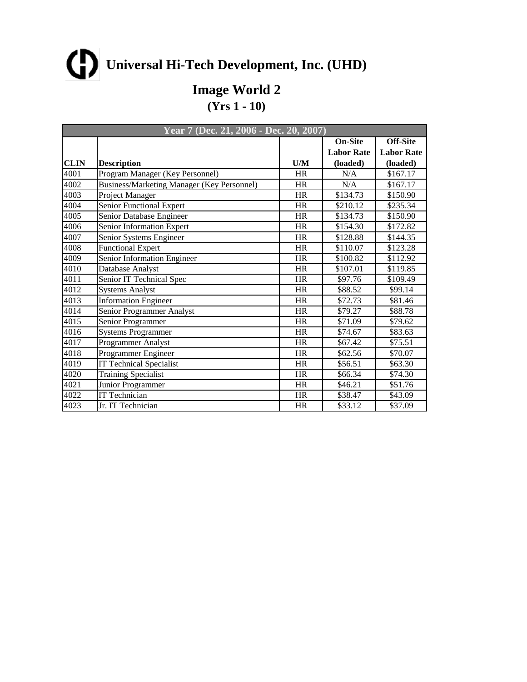**Image World 2**

|      | <b>Year 7 (Dec. 21, 2006 - Dec. 20, 2007)</b> |           |                   |                   |  |
|------|-----------------------------------------------|-----------|-------------------|-------------------|--|
|      |                                               |           | <b>On-Site</b>    | <b>Off-Site</b>   |  |
|      |                                               |           | <b>Labor Rate</b> | <b>Labor Rate</b> |  |
| CLIN | <b>Description</b>                            | U/M       | (loaded)          | (loaded)          |  |
| 4001 | Program Manager (Key Personnel)               | <b>HR</b> | N/A               | \$167.17          |  |
| 4002 | Business/Marketing Manager (Key Personnel)    | <b>HR</b> | N/A               | \$167.17          |  |
| 4003 | Project Manager                               | HR        | \$134.73          | \$150.90          |  |
| 4004 | Senior Functional Expert                      | HR        | \$210.12          | \$235.34          |  |
| 4005 | Senior Database Engineer                      | <b>HR</b> | \$134.73          | \$150.90          |  |
| 4006 | Senior Information Expert                     | HR        | \$154.30          | \$172.82          |  |
| 4007 | Senior Systems Engineer                       | HR        | \$128.88          | \$144.35          |  |
| 4008 | Functional Expert                             | <b>HR</b> | \$110.07          | \$123.28          |  |
| 4009 | Senior Information Engineer                   | HR        | \$100.82          | \$112.92          |  |
| 4010 | Database Analyst                              | HR        | \$107.01          | \$119.85          |  |
| 4011 | Senior IT Technical Spec                      | <b>HR</b> | \$97.76           | \$109.49          |  |
| 4012 | <b>Systems Analyst</b>                        | <b>HR</b> | \$88.52           | \$99.14           |  |
| 4013 | <b>Information Engineer</b>                   | <b>HR</b> | \$72.73           | \$81.46           |  |
| 4014 | Senior Programmer Analyst                     | HR        | \$79.27           | \$88.78           |  |
| 4015 | Senior Programmer                             | HR        | \$71.09           | \$79.62           |  |
| 4016 | Systems Programmer                            | <b>HR</b> | \$74.67           | \$83.63           |  |
| 4017 | Programmer Analyst                            | HR        | \$67.42           | \$75.51           |  |
| 4018 | Programmer Engineer                           | <b>HR</b> | \$62.56           | \$70.07           |  |
| 4019 | <b>IT Technical Specialist</b>                | <b>HR</b> | \$56.51           | \$63.30           |  |
| 4020 | Training Specialist                           | <b>HR</b> | \$66.34           | \$74.30           |  |
| 4021 | Junior Programmer                             | <b>HR</b> | \$46.21           | \$51.76           |  |
| 4022 | IT Technician                                 | HR        | \$38.47           | \$43.09           |  |
| 4023 | Jr. IT Technician                             | <b>HR</b> | \$33.12           | \$37.09           |  |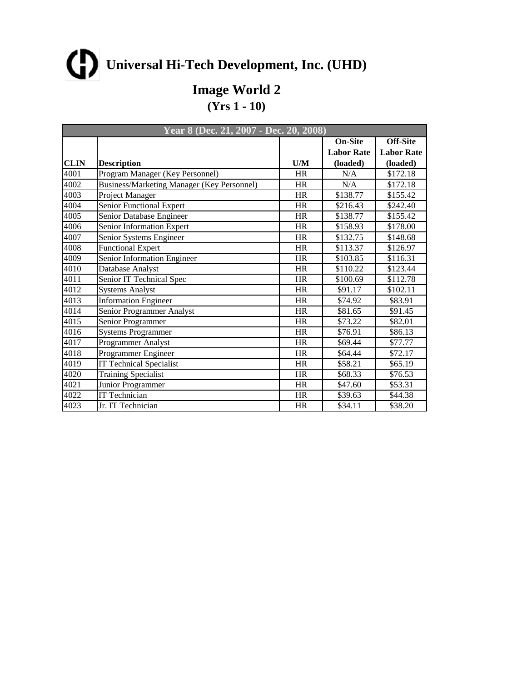**Image World 2**

|      | <b>Year 8 (Dec. 21, 2007 - Dec. 20, 2008)</b> |           |                   |                   |
|------|-----------------------------------------------|-----------|-------------------|-------------------|
|      |                                               |           | <b>On-Site</b>    | <b>Off-Site</b>   |
|      |                                               |           | <b>Labor Rate</b> | <b>Labor Rate</b> |
| CLIN | <b>Description</b>                            | U/M       | (loaded)          | (loaded)          |
| 4001 | Program Manager (Key Personnel)               | <b>HR</b> | N/A               | \$172.18          |
| 4002 | Business/Marketing Manager (Key Personnel)    | <b>HR</b> | N/A               | \$172.18          |
| 4003 | Project Manager                               | HR        | \$138.77          | \$155.42          |
| 4004 | Senior Functional Expert                      | HR        | \$216.43          | \$242.40          |
| 4005 | Senior Database Engineer                      | <b>HR</b> | \$138.77          | \$155.42          |
| 4006 | Senior Information Expert                     | HR        | \$158.93          | \$178.00          |
| 4007 | Senior Systems Engineer                       | HR        | \$132.75          | \$148.68          |
| 4008 | Functional Expert                             | <b>HR</b> | \$113.37          | \$126.97          |
| 4009 | Senior Information Engineer                   | HR        | \$103.85          | \$116.31          |
| 4010 | Database Analyst                              | HR        | \$110.22          | \$123.44          |
| 4011 | Senior IT Technical Spec                      | <b>HR</b> | \$100.69          | \$112.78          |
| 4012 | <b>Systems Analyst</b>                        | <b>HR</b> | \$91.17           | \$102.11          |
| 4013 | <b>Information Engineer</b>                   | <b>HR</b> | \$74.92           | \$83.91           |
| 4014 | Senior Programmer Analyst                     | HR        | \$81.65           | \$91.45           |
| 4015 | Senior Programmer                             | HR        | \$73.22           | \$82.01           |
| 4016 | Systems Programmer                            | <b>HR</b> | \$76.91           | \$86.13           |
| 4017 | Programmer Analyst                            | HR        | \$69.44           | \$77.77           |
| 4018 | Programmer Engineer                           | <b>HR</b> | \$64.44           | \$72.17           |
| 4019 | <b>IT Technical Specialist</b>                | <b>HR</b> | \$58.21           | \$65.19           |
| 4020 | Training Specialist                           | <b>HR</b> | \$68.33           | \$76.53           |
| 4021 | Junior Programmer                             | <b>HR</b> | \$47.60           | \$53.31           |
| 4022 | IT Technician                                 | HR        | \$39.63           | \$44.38           |
| 4023 | Jr. IT Technician                             | <b>HR</b> | \$34.11           | \$38.20           |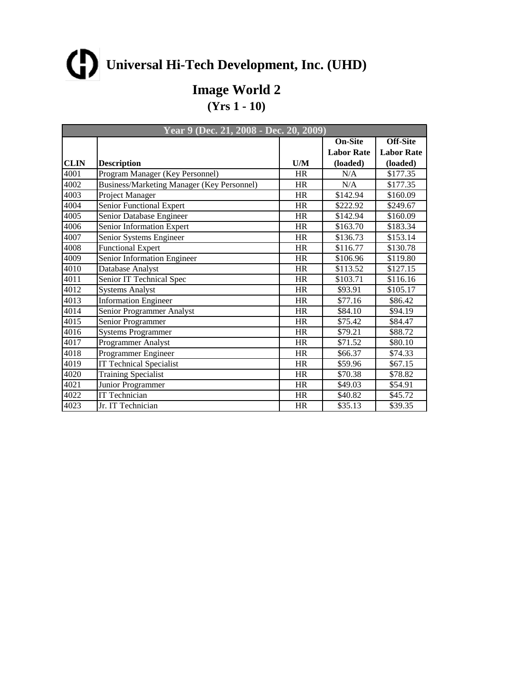**Image World 2**

|      | <b>Year 9 (Dec. 21, 2008 - Dec. 20, 2009)</b> |           |                   |                   |
|------|-----------------------------------------------|-----------|-------------------|-------------------|
|      |                                               |           | <b>On-Site</b>    | <b>Off-Site</b>   |
|      |                                               |           | <b>Labor Rate</b> | <b>Labor Rate</b> |
| CLIN | <b>Description</b>                            | U/M       | (loaded)          | (loaded)          |
| 4001 | Program Manager (Key Personnel)               | <b>HR</b> | N/A               | \$177.35          |
| 4002 | Business/Marketing Manager (Key Personnel)    | <b>HR</b> | N/A               | \$177.35          |
| 4003 | Project Manager                               | HR        | \$142.94          | \$160.09          |
| 4004 | Senior Functional Expert                      | HR        | \$222.92          | \$249.67          |
| 4005 | Senior Database Engineer                      | <b>HR</b> | \$142.94          | \$160.09          |
| 4006 | Senior Information Expert                     | HR        | \$163.70          | \$183.34          |
| 4007 | Senior Systems Engineer                       | HR        | \$136.73          | \$153.14          |
| 4008 | Functional Expert                             | <b>HR</b> | \$116.77          | \$130.78          |
| 4009 | Senior Information Engineer                   | HR        | \$106.96          | \$119.80          |
| 4010 | Database Analyst                              | HR        | \$113.52          | \$127.15          |
| 4011 | Senior IT Technical Spec                      | <b>HR</b> | \$103.71          | \$116.16          |
| 4012 | <b>Systems Analyst</b>                        | <b>HR</b> | \$93.91           | \$105.17          |
| 4013 | <b>Information Engineer</b>                   | <b>HR</b> | \$77.16           | \$86.42           |
| 4014 | Senior Programmer Analyst                     | HR        | \$84.10           | \$94.19           |
| 4015 | Senior Programmer                             | HR        | \$75.42           | \$84.47           |
| 4016 | Systems Programmer                            | <b>HR</b> | \$79.21           | \$88.72           |
| 4017 | Programmer Analyst                            | HR        | \$71.52           | \$80.10           |
| 4018 | Programmer Engineer                           | <b>HR</b> | \$66.37           | \$74.33           |
| 4019 | <b>IT Technical Specialist</b>                | <b>HR</b> | \$59.96           | \$67.15           |
| 4020 | Training Specialist                           | <b>HR</b> | \$70.38           | \$78.82           |
| 4021 | Junior Programmer                             | <b>HR</b> | \$49.03           | \$54.91           |
| 4022 | IT Technician                                 | HR        | \$40.82           | \$45.72           |
| 4023 | Jr. IT Technician                             | <b>HR</b> | \$35.13           | \$39.35           |